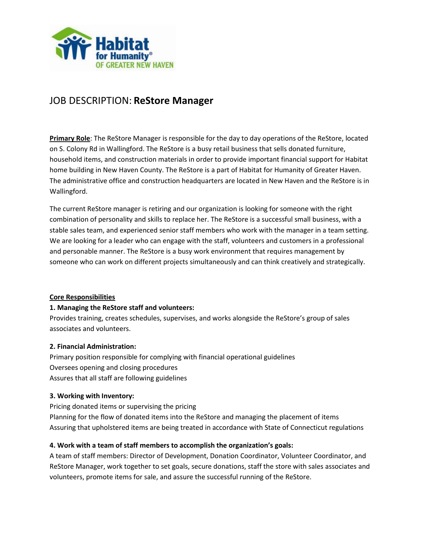

# JOB DESCRIPTION: **ReStore Manager**

**Primary Role**: The ReStore Manager is responsible for the day to day operations of the ReStore, located on S. Colony Rd in Wallingford. The ReStore is a busy retail business that sells donated furniture, household items, and construction materials in order to provide important financial support for Habitat home building in New Haven County. The ReStore is a part of Habitat for Humanity of Greater Haven. The administrative office and construction headquarters are located in New Haven and the ReStore is in Wallingford.

The current ReStore manager is retiring and our organization is looking for someone with the right combination of personality and skills to replace her. The ReStore is a successful small business, with a stable sales team, and experienced senior staff members who work with the manager in a team setting. We are looking for a leader who can engage with the staff, volunteers and customers in a professional and personable manner. The ReStore is a busy work environment that requires management by someone who can work on different projects simultaneously and can think creatively and strategically.

### **Core Responsibilities**

### **1. Managing the ReStore staff and volunteers:**

Provides training, creates schedules, supervises, and works alongside the ReStore's group of sales associates and volunteers.

### **2. Financial Administration:**

Primary position responsible for complying with financial operational guidelines Oversees opening and closing procedures Assures that all staff are following guidelines

### **3. Working with Inventory:**

Pricing donated items or supervising the pricing Planning for the flow of donated items into the ReStore and managing the placement of items

Assuring that upholstered items are being treated in accordance with State of Connecticut regulations

## **4. Work with a team of staff members to accomplish the organization's goals:**

A team of staff members: Director of Development, Donation Coordinator, Volunteer Coordinator, and ReStore Manager, work together to set goals, secure donations, staff the store with sales associates and volunteers, promote items for sale, and assure the successful running of the ReStore.